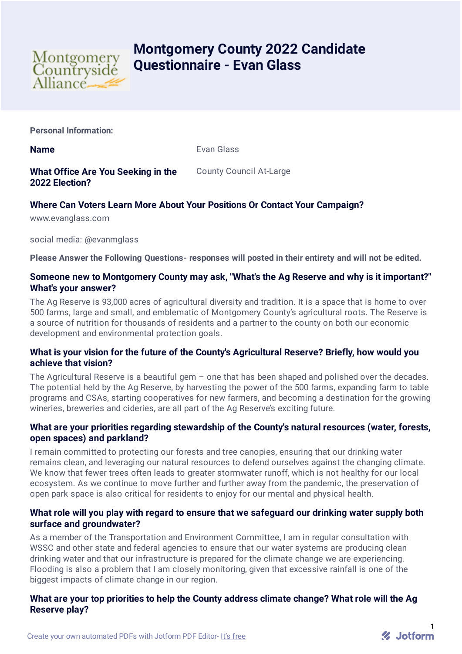

# **Montgomery County 2022 Candidate Questionnaire - Evan Glass**

**Personal Information:**

**Name** Evan Glass

**What Office Are You Seeking in the 2022 Election?** County Council At-Large

## **Where Can Voters Learn More About Your Positions Or Contact Your Campaign?**

www.evanglass.com

social media: @evanmglass

**Please Answer the Following Questions- responses will posted in their entirety and will not be edited.**

## **Someone new to Montgomery County may ask, "What's the Ag Reserve and why is it important?" What's your answer?**

The Ag Reserve is 93,000 acres of agricultural diversity and tradition. It is a space that is home to over 500 farms, large and small, and emblematic of Montgomery County's agricultural roots. The Reserve is a source of nutrition for thousands of residents and a partner to the county on both our economic development and environmental protection goals.

## **What is your vision for the future of the County's Agricultural Reserve? Briefly, how would you achieve that vision?**

The Agricultural Reserve is a beautiful gem  $-$  one that has been shaped and polished over the decades. The potential held by the Ag Reserve, by harvesting the power of the 500 farms, expanding farm to table programs and CSAs, starting cooperatives for new farmers, and becoming a destination for the growing wineries, breweries and cideries, are all part of the Ag Reserve's exciting future.

## **What are your priorities regarding stewardship of the County's natural resources (water, forests, open spaces) and parkland?**

I remain committed to protecting our forests and tree canopies, ensuring that our drinking water remains clean, and leveraging our natural resources to defend ourselves against the changing climate. We know that fewer trees often leads to greater stormwater runoff, which is not healthy for our local ecosystem. As we continue to move further and further away from the pandemic, the preservation of open park space is also critical for residents to enjoy for our mental and physical health.

## **What role will you play with regard to ensure that we safeguard our drinking water supply both surface and groundwater?**

As a member of the Transportation and Environment Committee, I am in regular consultation with WSSC and other state and federal agencies to ensure that our water systems are producing clean drinking water and that our infrastructure is prepared for the climate change we are experiencing. Flooding is also a problem that I am closely monitoring, given that excessive rainfall is one of the biggest impacts of climate change in our region.

## **What are your top priorities to help the County address climate change? What role will the Ag Reserve play?**